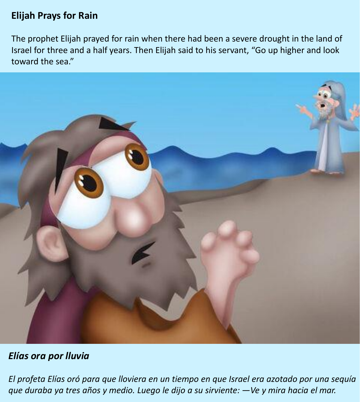## **Elijah Prays for Rain**

The prophet Elijah prayed for rain when there had been a severe drought in the land of Israel for three and a half years. Then Elijah said to his servant, "Go up higher and look toward the sea."



## *Elías ora por lluvia*

*El profeta Elías oró para que lloviera en un tiempo en que Israel era azotado por una sequía que duraba ya tres años y medio. Luego le dijo a su sirviente: —Ve y mira hacia el mar.*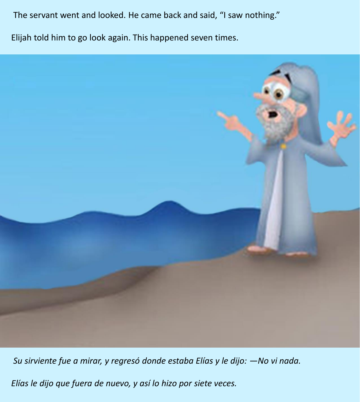The servant went and looked. He came back and said, "I saw nothing."

Elijah told him to go look again. This happened seven times.



*Su sirviente fue a mirar, y regresó donde estaba Elías y le dijo: —No vi nada.*

*Elías le dijo que fuera de nuevo, y así lo hizo por siete veces.*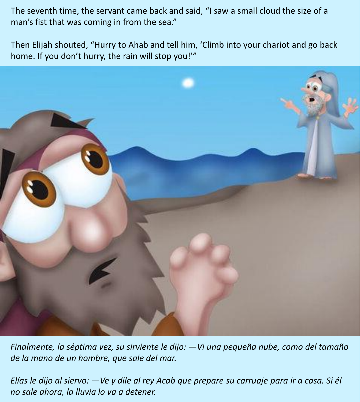The seventh time, the servant came back and said, "I saw a small cloud the size of a man's fist that was coming in from the sea."

Then Elijah shouted, "Hurry to Ahab and tell him, 'Climb into your chariot and go back home. If you don't hurry, the rain will stop you!'"

![](_page_2_Picture_2.jpeg)

*Finalmente, la séptima vez, su sirviente le dijo: —Vi una pequeña nube, como del tamaño de la mano de un hombre, que sale del mar.*

*Elías le dijo al siervo: —Ve y dile al rey Acab que prepare su carruaje para ir a casa. Si él no sale ahora, la lluvia lo va a detener.*